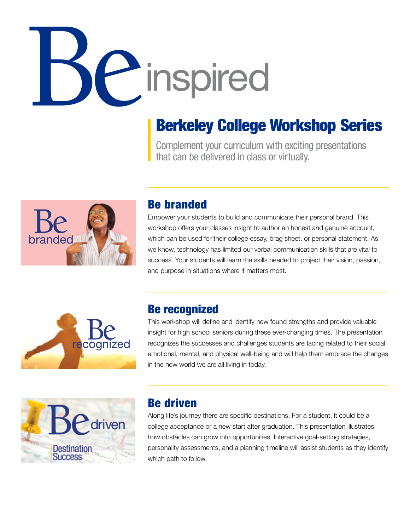# hinspired

### Berkeley College Workshop Series

Complement your curriculum with exciting presentations that can be delivered in class or virtually.



#### Be branded

Empower your students to build and communicate their personal brand. This workshop offers your classes insight to author an honest and genuine account, which can be used for their college essay, brag sheet, or personal statement. As we know, technology has limited our verbal communication skills that are vital to success. Your students will learn the skills needed to project their vision, passion, and purpose in situations where it matters most.



#### Be recognized

This workshop will define and identify new found strengths and provide valuable insight for high school seniors during these ever-changing times. The presentation recognizes the successes and challenges students are facing related to their social, emotional, mental, and physical well-being and will help them embrace the changes in the new world we are all living in today.



#### Be driven

Along life's journey there are specific destinations. For a student, it could be a college acceptance or a new start after graduation. This presentation illustrates how obstacles can grow into opportunities. Interactive goal-setting strategies, personality assessments, and a planning timeline will assist students as they identify which path to follow.